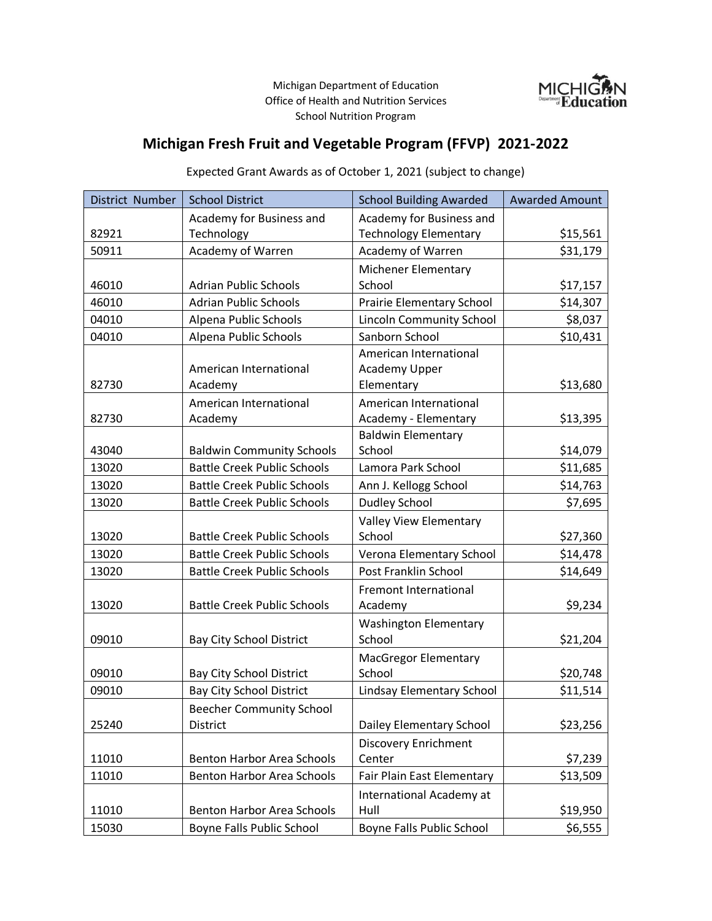Michigan Department of Education Office of Health and Nutrition Services School Nutrition Program



## **Michigan Fresh Fruit and Vegetable Program (FFVP) 2021-2022**

## District Number School District School Building Awarded Awarded Amount 82921 Academy for Business and **Technology** Academy for Business and Technology Elementary **\$15,561** 50911 | Academy of Warren | Academy of Warren | \$31,179 46010 Adrian Public Schools Michener Elementary School 517,157 46010 Adrian Public Schools Prairie Elementary School 314,307 04010 | Alpena Public Schools | Lincoln Community School | \$8,037 04010 Alpena Public Schools Sanborn School \$10,431 82730 American International Academy American International Academy Upper Elementary and the state state of the state state state state state state state state state state state state 82730 American International Academy American International  $Academy - Elementary$   $\downarrow$  \$13,395 43040 Baldwin Community Schools Baldwin Elementary School \$14,079 13020 Battle Creek Public Schools | Lamora Park School | \$11,685 13020 Battle Creek Public Schools | Ann J. Kellogg School | \$14,763 13020 Battle Creek Public Schools Dudley School 19020 57,695 13020 | Battle Creek Public Schools Valley View Elementary School \$27,360 13020 Battle Creek Public Schools | Verona Elementary School | \$14,478 13020 Battle Creek Public Schools Post Franklin School \$14,649 13020 | Battle Creek Public Schools Fremont International Academy and the state of the set of the set of the set of the set of the set of the set of the set of the set o 09010 | Bay City School District Washington Elementary School 521,204 09010 | Bay City School District MacGregor Elementary  $School$   $\downarrow$   $\downarrow$   $\downarrow$   $\downarrow$   $\downarrow$   $\downarrow$   $\downarrow$   $\downarrow$   $\downarrow$   $\downarrow$   $\downarrow$   $\downarrow$   $\downarrow$   $\downarrow$   $\downarrow$   $\downarrow$   $\downarrow$   $\downarrow$   $\downarrow$   $\downarrow$   $\downarrow$   $\downarrow$   $\downarrow$   $\downarrow$   $\downarrow$   $\downarrow$   $\downarrow$   $\downarrow$   $\downarrow$   $\downarrow$   $\downarrow$   $\downarrow$   $\downarrow$   $\downarrow$   $\downarrow$   $\downarrow$ 09010 Bay City School District | Lindsay Elementary School | \$11,514 25240 Beecher Community School District Dailey Elementary School \$23,256 11010 Benton Harbor Area Schools Discovery Enrichment  $Center$   $|$  \$7,239 11010 Benton Harbor Area Schools | Fair Plain East Elementary | \$13,509 11010 Benton Harbor Area Schools International Academy at Hull 519,950

15030 Boyne Falls Public School Boyne Falls Public School | \$6,555

## Expected Grant Awards as of October 1, 2021 (subject to change)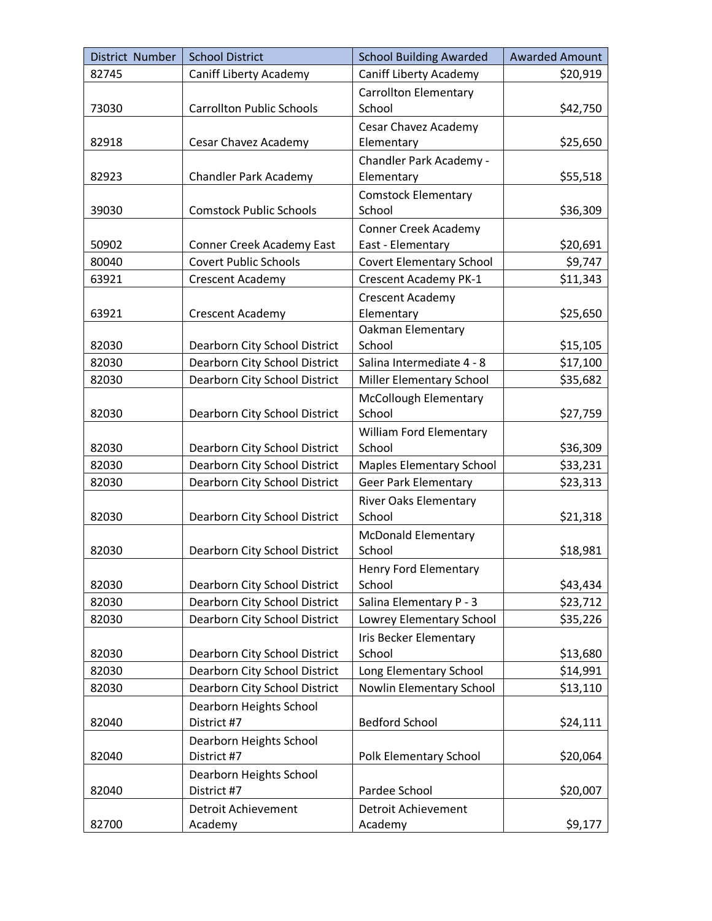| District Number | <b>School District</b>                 | <b>School Building Awarded</b>                   | <b>Awarded Amount</b> |
|-----------------|----------------------------------------|--------------------------------------------------|-----------------------|
| 82745           | <b>Caniff Liberty Academy</b>          | <b>Caniff Liberty Academy</b>                    | \$20,919              |
| 73030           | <b>Carrollton Public Schools</b>       | <b>Carrollton Elementary</b><br>School           | \$42,750              |
| 82918           | Cesar Chavez Academy                   | Cesar Chavez Academy<br>Elementary               | \$25,650              |
| 82923           | <b>Chandler Park Academy</b>           | Chandler Park Academy -<br>Elementary            | \$55,518              |
| 39030           | <b>Comstock Public Schools</b>         | <b>Comstock Elementary</b><br>School             | \$36,309              |
| 50902           | <b>Conner Creek Academy East</b>       | <b>Conner Creek Academy</b><br>East - Elementary | \$20,691              |
| 80040           | <b>Covert Public Schools</b>           | <b>Covert Elementary School</b>                  | \$9,747               |
| 63921           | Crescent Academy                       | <b>Crescent Academy PK-1</b>                     | \$11,343              |
|                 |                                        | <b>Crescent Academy</b>                          |                       |
| 63921           | <b>Crescent Academy</b>                | Elementary                                       | \$25,650              |
|                 |                                        | Oakman Elementary                                |                       |
| 82030           | Dearborn City School District          | School                                           | \$15,105              |
| 82030           | Dearborn City School District          | Salina Intermediate 4 - 8                        | \$17,100              |
| 82030           | Dearborn City School District          | Miller Elementary School                         | \$35,682              |
|                 |                                        | McCollough Elementary                            |                       |
| 82030           | Dearborn City School District          | School                                           | \$27,759              |
|                 |                                        | <b>William Ford Elementary</b>                   |                       |
| 82030           | Dearborn City School District          | School                                           | \$36,309              |
| 82030           | Dearborn City School District          | <b>Maples Elementary School</b>                  | \$33,231              |
| 82030           | Dearborn City School District          | <b>Geer Park Elementary</b>                      | \$23,313              |
| 82030           | Dearborn City School District          | <b>River Oaks Elementary</b><br>School           | \$21,318              |
| 82030           | Dearborn City School District          | <b>McDonald Elementary</b><br>School             | \$18,981              |
| 82030           | Dearborn City School District          | <b>Henry Ford Elementary</b><br>School           | \$43,434              |
| 82030           | Dearborn City School District          | Salina Elementary P - 3                          | \$23,712              |
| 82030           | Dearborn City School District          | Lowrey Elementary School                         | \$35,226              |
| 82030           | Dearborn City School District          | Iris Becker Elementary<br>School                 | \$13,680              |
| 82030           | Dearborn City School District          | Long Elementary School                           | \$14,991              |
| 82030           | Dearborn City School District          | Nowlin Elementary School                         | \$13,110              |
| 82040           | Dearborn Heights School<br>District #7 | <b>Bedford School</b>                            | \$24,111              |
| 82040           | Dearborn Heights School<br>District #7 | Polk Elementary School                           | \$20,064              |
|                 | Dearborn Heights School                |                                                  |                       |
| 82040           | District #7                            | Pardee School                                    | \$20,007              |
|                 | <b>Detroit Achievement</b>             | Detroit Achievement                              |                       |
| 82700           | Academy                                | Academy                                          | \$9,177               |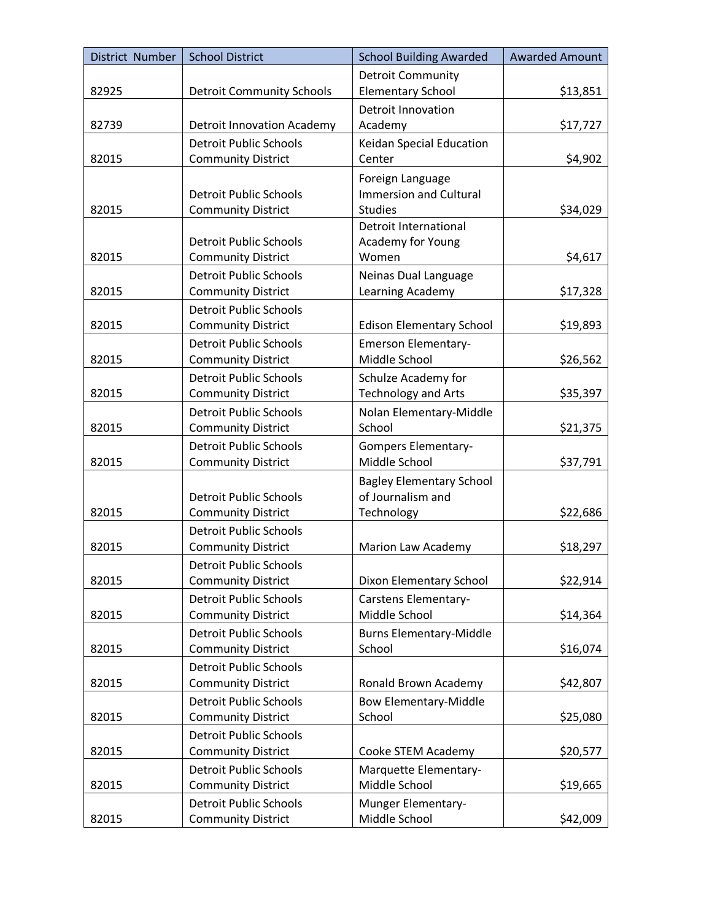| District Number | <b>School District</b>            | <b>School Building Awarded</b>  | <b>Awarded Amount</b> |
|-----------------|-----------------------------------|---------------------------------|-----------------------|
|                 |                                   | <b>Detroit Community</b>        |                       |
| 82925           | <b>Detroit Community Schools</b>  | <b>Elementary School</b>        | \$13,851              |
|                 |                                   | <b>Detroit Innovation</b>       |                       |
| 82739           | <b>Detroit Innovation Academy</b> | Academy                         | \$17,727              |
|                 | <b>Detroit Public Schools</b>     | Keidan Special Education        |                       |
| 82015           | <b>Community District</b>         | Center                          | \$4,902               |
|                 |                                   | Foreign Language                |                       |
|                 | <b>Detroit Public Schools</b>     | <b>Immersion and Cultural</b>   |                       |
| 82015           | <b>Community District</b>         | <b>Studies</b>                  | \$34,029              |
|                 |                                   | Detroit International           |                       |
|                 | <b>Detroit Public Schools</b>     | Academy for Young               |                       |
| 82015           | <b>Community District</b>         | Women                           | \$4,617               |
|                 | <b>Detroit Public Schools</b>     | Neinas Dual Language            |                       |
| 82015           | <b>Community District</b>         | Learning Academy                | \$17,328              |
|                 | <b>Detroit Public Schools</b>     |                                 |                       |
| 82015           | <b>Community District</b>         | <b>Edison Elementary School</b> | \$19,893              |
|                 | <b>Detroit Public Schools</b>     | <b>Emerson Elementary-</b>      |                       |
| 82015           | <b>Community District</b>         | Middle School                   | \$26,562              |
|                 | <b>Detroit Public Schools</b>     | Schulze Academy for             |                       |
| 82015           | <b>Community District</b>         | <b>Technology and Arts</b>      | \$35,397              |
|                 | <b>Detroit Public Schools</b>     | Nolan Elementary-Middle         |                       |
| 82015           | <b>Community District</b>         | School                          | \$21,375              |
|                 | <b>Detroit Public Schools</b>     | <b>Gompers Elementary-</b>      |                       |
| 82015           | <b>Community District</b>         | Middle School                   | \$37,791              |
|                 |                                   | <b>Bagley Elementary School</b> |                       |
|                 | <b>Detroit Public Schools</b>     | of Journalism and               |                       |
| 82015           | <b>Community District</b>         | Technology                      | \$22,686              |
|                 | <b>Detroit Public Schools</b>     |                                 |                       |
| 82015           | <b>Community District</b>         | Marion Law Academy              | \$18,297              |
|                 | <b>Detroit Public Schools</b>     |                                 |                       |
| 82015           | <b>Community District</b>         | Dixon Elementary School         | \$22,914              |
|                 | <b>Detroit Public Schools</b>     | <b>Carstens Elementary-</b>     |                       |
| 82015           | <b>Community District</b>         | Middle School                   | \$14,364              |
|                 | <b>Detroit Public Schools</b>     | <b>Burns Elementary-Middle</b>  |                       |
| 82015           | <b>Community District</b>         | School                          | \$16,074              |
|                 | <b>Detroit Public Schools</b>     |                                 |                       |
| 82015           | <b>Community District</b>         | Ronald Brown Academy            | \$42,807              |
|                 | <b>Detroit Public Schools</b>     | <b>Bow Elementary-Middle</b>    |                       |
| 82015           | <b>Community District</b>         | School                          | \$25,080              |
|                 | <b>Detroit Public Schools</b>     |                                 |                       |
| 82015           | <b>Community District</b>         | Cooke STEM Academy              | \$20,577              |
|                 | <b>Detroit Public Schools</b>     | Marquette Elementary-           |                       |
| 82015           | <b>Community District</b>         | Middle School                   | \$19,665              |
|                 | <b>Detroit Public Schools</b>     | Munger Elementary-              |                       |
| 82015           | <b>Community District</b>         | Middle School                   | \$42,009              |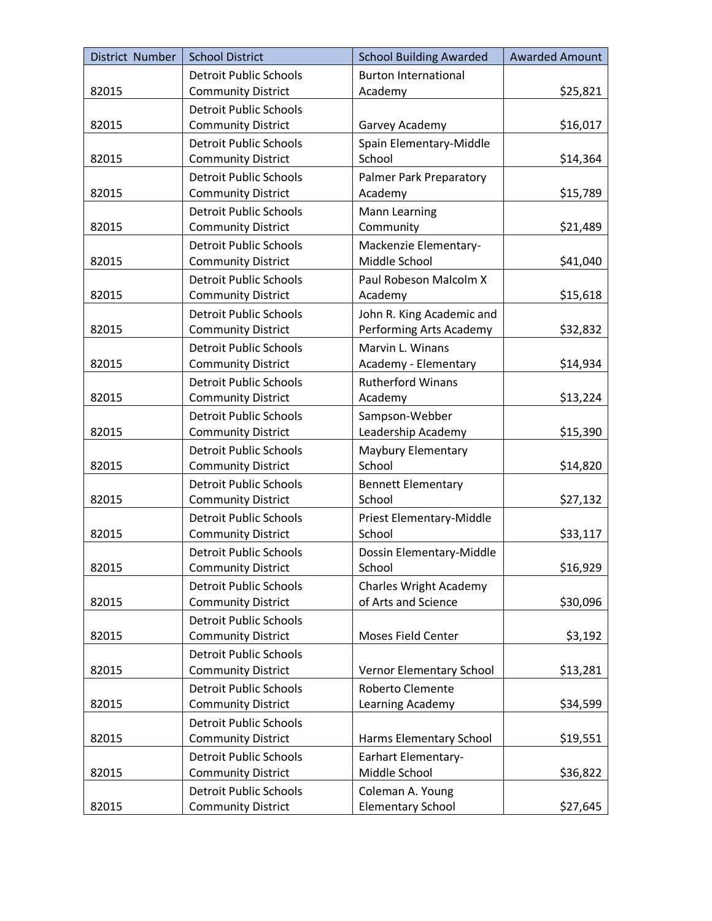| District Number | <b>School District</b>        | <b>School Building Awarded</b>  | <b>Awarded Amount</b> |
|-----------------|-------------------------------|---------------------------------|-----------------------|
|                 | <b>Detroit Public Schools</b> | <b>Burton International</b>     |                       |
| 82015           | <b>Community District</b>     | Academy                         | \$25,821              |
|                 | <b>Detroit Public Schools</b> |                                 |                       |
| 82015           | <b>Community District</b>     | Garvey Academy                  | \$16,017              |
|                 | <b>Detroit Public Schools</b> | Spain Elementary-Middle         |                       |
| 82015           | <b>Community District</b>     | School                          | \$14,364              |
|                 | <b>Detroit Public Schools</b> | <b>Palmer Park Preparatory</b>  |                       |
| 82015           | <b>Community District</b>     | Academy                         | \$15,789              |
|                 | <b>Detroit Public Schools</b> | <b>Mann Learning</b>            |                       |
| 82015           | <b>Community District</b>     | Community                       | \$21,489              |
|                 | <b>Detroit Public Schools</b> | Mackenzie Elementary-           |                       |
| 82015           | <b>Community District</b>     | Middle School                   | \$41,040              |
|                 | <b>Detroit Public Schools</b> | Paul Robeson Malcolm X          |                       |
| 82015           | <b>Community District</b>     | Academy                         | \$15,618              |
|                 | <b>Detroit Public Schools</b> | John R. King Academic and       |                       |
| 82015           | <b>Community District</b>     | Performing Arts Academy         | \$32,832              |
|                 | <b>Detroit Public Schools</b> | Marvin L. Winans                |                       |
| 82015           | <b>Community District</b>     | Academy - Elementary            | \$14,934              |
|                 | <b>Detroit Public Schools</b> | <b>Rutherford Winans</b>        |                       |
| 82015           | <b>Community District</b>     | Academy                         | \$13,224              |
|                 | <b>Detroit Public Schools</b> | Sampson-Webber                  |                       |
| 82015           | <b>Community District</b>     | Leadership Academy              | \$15,390              |
|                 | <b>Detroit Public Schools</b> | Maybury Elementary              |                       |
| 82015           | <b>Community District</b>     | School                          | \$14,820              |
|                 | <b>Detroit Public Schools</b> | <b>Bennett Elementary</b>       |                       |
| 82015           | <b>Community District</b>     | School                          | \$27,132              |
|                 | <b>Detroit Public Schools</b> | Priest Elementary-Middle        |                       |
| 82015           | <b>Community District</b>     | School                          | \$33,117              |
|                 | <b>Detroit Public Schools</b> | Dossin Elementary-Middle        |                       |
| 82015           | <b>Community District</b>     | School                          | \$16,929              |
|                 | <b>Detroit Public Schools</b> | <b>Charles Wright Academy</b>   |                       |
| 82015           | <b>Community District</b>     | of Arts and Science             | \$30,096              |
|                 | <b>Detroit Public Schools</b> |                                 |                       |
| 82015           | <b>Community District</b>     | <b>Moses Field Center</b>       | \$3,192               |
|                 | <b>Detroit Public Schools</b> |                                 |                       |
| 82015           | <b>Community District</b>     | <b>Vernor Elementary School</b> | \$13,281              |
|                 | <b>Detroit Public Schools</b> | Roberto Clemente                |                       |
| 82015           | <b>Community District</b>     | Learning Academy                | \$34,599              |
|                 | <b>Detroit Public Schools</b> |                                 |                       |
| 82015           | <b>Community District</b>     | Harms Elementary School         | \$19,551              |
|                 | <b>Detroit Public Schools</b> | <b>Earhart Elementary-</b>      |                       |
| 82015           | <b>Community District</b>     | Middle School                   | \$36,822              |
|                 | <b>Detroit Public Schools</b> | Coleman A. Young                |                       |
| 82015           | <b>Community District</b>     | <b>Elementary School</b>        | \$27,645              |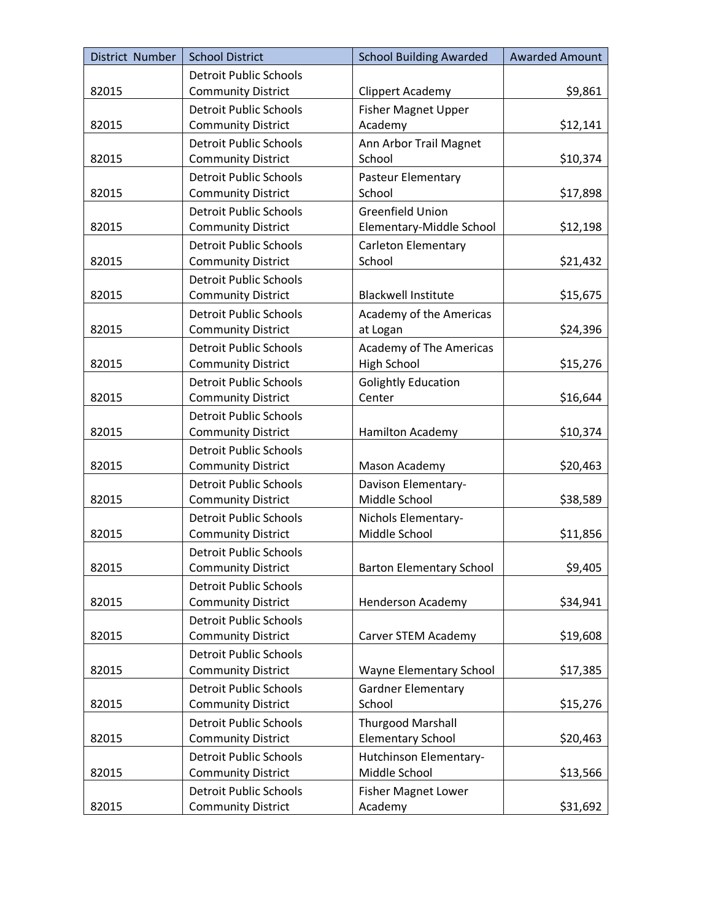| District Number | <b>School District</b>        | <b>School Building Awarded</b>  | <b>Awarded Amount</b> |
|-----------------|-------------------------------|---------------------------------|-----------------------|
|                 | <b>Detroit Public Schools</b> |                                 |                       |
| 82015           | <b>Community District</b>     | <b>Clippert Academy</b>         | \$9,861               |
|                 | <b>Detroit Public Schools</b> | <b>Fisher Magnet Upper</b>      |                       |
| 82015           | <b>Community District</b>     | Academy                         | \$12,141              |
|                 | <b>Detroit Public Schools</b> | Ann Arbor Trail Magnet          |                       |
| 82015           | <b>Community District</b>     | School                          | \$10,374              |
|                 | <b>Detroit Public Schools</b> | Pasteur Elementary              |                       |
| 82015           | <b>Community District</b>     | School                          | \$17,898              |
|                 | <b>Detroit Public Schools</b> | <b>Greenfield Union</b>         |                       |
| 82015           | <b>Community District</b>     | Elementary-Middle School        | \$12,198              |
|                 | <b>Detroit Public Schools</b> | Carleton Elementary             |                       |
| 82015           | <b>Community District</b>     | School                          | \$21,432              |
|                 | <b>Detroit Public Schools</b> |                                 |                       |
| 82015           | <b>Community District</b>     | <b>Blackwell Institute</b>      | \$15,675              |
|                 | <b>Detroit Public Schools</b> | <b>Academy of the Americas</b>  |                       |
| 82015           | <b>Community District</b>     | at Logan                        | \$24,396              |
|                 | <b>Detroit Public Schools</b> | <b>Academy of The Americas</b>  |                       |
| 82015           | <b>Community District</b>     | <b>High School</b>              | \$15,276              |
|                 | <b>Detroit Public Schools</b> | <b>Golightly Education</b>      |                       |
| 82015           | <b>Community District</b>     | Center                          | \$16,644              |
|                 | <b>Detroit Public Schools</b> |                                 |                       |
| 82015           | <b>Community District</b>     | Hamilton Academy                | \$10,374              |
|                 | <b>Detroit Public Schools</b> |                                 |                       |
| 82015           | <b>Community District</b>     | Mason Academy                   | \$20,463              |
|                 | <b>Detroit Public Schools</b> | Davison Elementary-             |                       |
| 82015           | <b>Community District</b>     | Middle School                   | \$38,589              |
|                 | <b>Detroit Public Schools</b> | Nichols Elementary-             |                       |
| 82015           | <b>Community District</b>     | Middle School                   | \$11,856              |
|                 | <b>Detroit Public Schools</b> |                                 |                       |
| 82015           | <b>Community District</b>     | <b>Barton Elementary School</b> | \$9,405               |
|                 | <b>Detroit Public Schools</b> |                                 |                       |
| 82015           | <b>Community District</b>     | Henderson Academy               | \$34,941              |
|                 | <b>Detroit Public Schools</b> |                                 |                       |
| 82015           | <b>Community District</b>     | Carver STEM Academy             | \$19,608              |
|                 | <b>Detroit Public Schools</b> |                                 |                       |
| 82015           | <b>Community District</b>     | Wayne Elementary School         | \$17,385              |
|                 | <b>Detroit Public Schools</b> | <b>Gardner Elementary</b>       |                       |
| 82015           | <b>Community District</b>     | School                          | \$15,276              |
|                 | <b>Detroit Public Schools</b> | <b>Thurgood Marshall</b>        |                       |
| 82015           | <b>Community District</b>     | <b>Elementary School</b>        | \$20,463              |
|                 | <b>Detroit Public Schools</b> | Hutchinson Elementary-          |                       |
| 82015           | <b>Community District</b>     | Middle School                   | \$13,566              |
|                 | <b>Detroit Public Schools</b> | <b>Fisher Magnet Lower</b>      |                       |
| 82015           | <b>Community District</b>     | Academy                         | \$31,692              |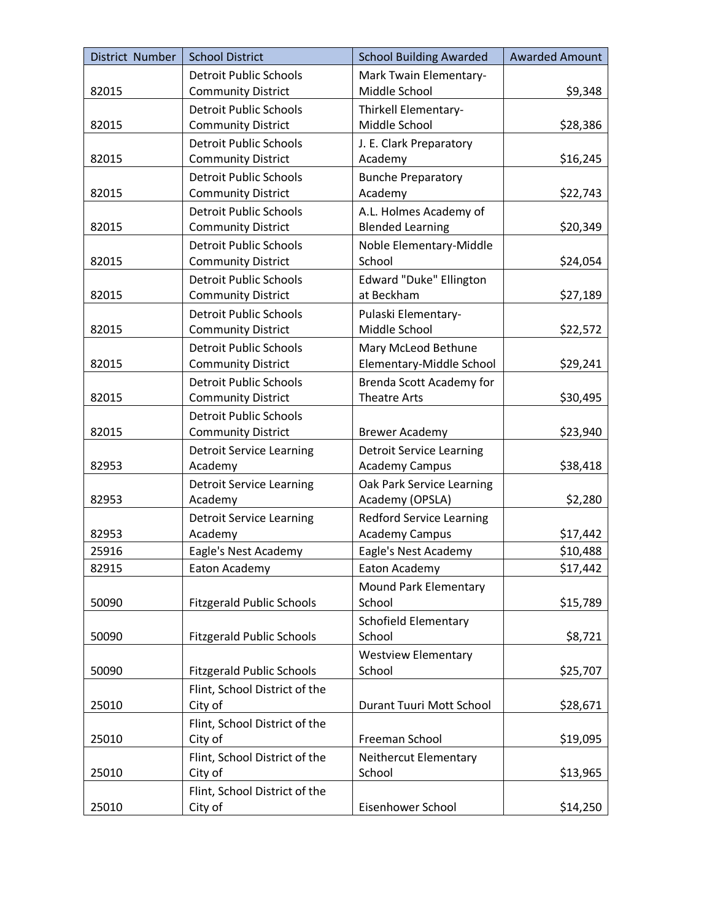| District Number | <b>School District</b>           | <b>School Building Awarded</b>  | <b>Awarded Amount</b> |
|-----------------|----------------------------------|---------------------------------|-----------------------|
|                 | <b>Detroit Public Schools</b>    | Mark Twain Elementary-          |                       |
| 82015           | <b>Community District</b>        | Middle School                   | \$9,348               |
|                 | <b>Detroit Public Schools</b>    | Thirkell Elementary-            |                       |
| 82015           | <b>Community District</b>        | Middle School                   | \$28,386              |
|                 | <b>Detroit Public Schools</b>    | J. E. Clark Preparatory         |                       |
| 82015           | <b>Community District</b>        | Academy                         | \$16,245              |
|                 | <b>Detroit Public Schools</b>    | <b>Bunche Preparatory</b>       |                       |
| 82015           | <b>Community District</b>        | Academy                         | \$22,743              |
|                 | <b>Detroit Public Schools</b>    | A.L. Holmes Academy of          |                       |
| 82015           | <b>Community District</b>        | <b>Blended Learning</b>         | \$20,349              |
|                 | <b>Detroit Public Schools</b>    | Noble Elementary-Middle         |                       |
| 82015           | <b>Community District</b>        | School                          | \$24,054              |
|                 | <b>Detroit Public Schools</b>    | Edward "Duke" Ellington         |                       |
| 82015           | <b>Community District</b>        | at Beckham                      | \$27,189              |
|                 | <b>Detroit Public Schools</b>    | Pulaski Elementary-             |                       |
| 82015           | <b>Community District</b>        | Middle School                   | \$22,572              |
|                 | <b>Detroit Public Schools</b>    | Mary McLeod Bethune             |                       |
| 82015           | <b>Community District</b>        | Elementary-Middle School        | \$29,241              |
|                 | <b>Detroit Public Schools</b>    | Brenda Scott Academy for        |                       |
| 82015           | <b>Community District</b>        | <b>Theatre Arts</b>             | \$30,495              |
|                 | <b>Detroit Public Schools</b>    |                                 |                       |
| 82015           | <b>Community District</b>        | <b>Brewer Academy</b>           | \$23,940              |
|                 | <b>Detroit Service Learning</b>  | <b>Detroit Service Learning</b> |                       |
| 82953           | Academy                          | <b>Academy Campus</b>           | \$38,418              |
|                 | <b>Detroit Service Learning</b>  | Oak Park Service Learning       |                       |
| 82953           | Academy                          | Academy (OPSLA)                 | \$2,280               |
|                 | <b>Detroit Service Learning</b>  | <b>Redford Service Learning</b> |                       |
| 82953           | Academy                          | <b>Academy Campus</b>           | \$17,442              |
| 25916           | Eagle's Nest Academy             | Eagle's Nest Academy            | \$10,488              |
| 82915           | Eaton Academy                    | Eaton Academy                   | \$17,442              |
|                 |                                  | <b>Mound Park Elementary</b>    |                       |
| 50090           | <b>Fitzgerald Public Schools</b> | School                          | \$15,789              |
|                 |                                  | <b>Schofield Elementary</b>     |                       |
| 50090           | <b>Fitzgerald Public Schools</b> | School                          | \$8,721               |
|                 |                                  | <b>Westview Elementary</b>      |                       |
| 50090           | <b>Fitzgerald Public Schools</b> | School                          | \$25,707              |
|                 | Flint, School District of the    |                                 |                       |
| 25010           | City of                          | Durant Tuuri Mott School        | \$28,671              |
|                 | Flint, School District of the    |                                 |                       |
| 25010           | City of                          | Freeman School                  | \$19,095              |
|                 | Flint, School District of the    | Neithercut Elementary           |                       |
| 25010           | City of                          | School                          | \$13,965              |
|                 | Flint, School District of the    |                                 |                       |
| 25010           | City of                          | Eisenhower School               | \$14,250              |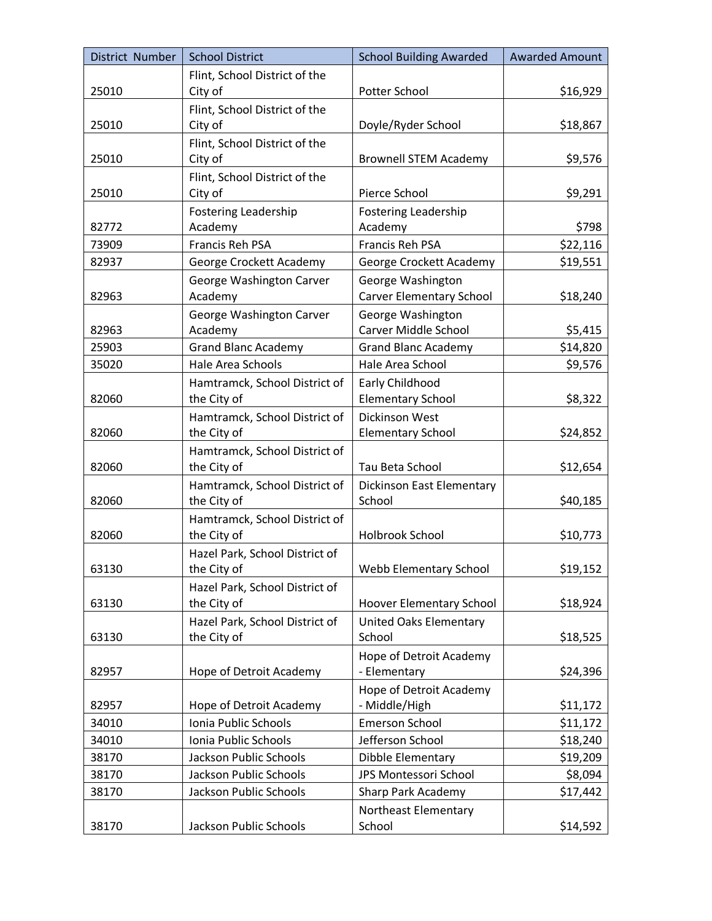| District Number | <b>School District</b>         | <b>School Building Awarded</b>  | <b>Awarded Amount</b> |
|-----------------|--------------------------------|---------------------------------|-----------------------|
|                 | Flint, School District of the  |                                 |                       |
| 25010           | City of                        | Potter School                   | \$16,929              |
|                 | Flint, School District of the  |                                 |                       |
| 25010           | City of                        | Doyle/Ryder School              | \$18,867              |
|                 | Flint, School District of the  |                                 |                       |
| 25010           | City of                        | <b>Brownell STEM Academy</b>    | \$9,576               |
|                 | Flint, School District of the  |                                 |                       |
| 25010           | City of                        | Pierce School                   | \$9,291               |
|                 | <b>Fostering Leadership</b>    | <b>Fostering Leadership</b>     |                       |
| 82772           | Academy                        | Academy                         | \$798                 |
| 73909           | Francis Reh PSA                | Francis Reh PSA                 | \$22,116              |
| 82937           | George Crockett Academy        | George Crockett Academy         | \$19,551              |
|                 | George Washington Carver       | George Washington               |                       |
| 82963           | Academy                        | <b>Carver Elementary School</b> | \$18,240              |
|                 | George Washington Carver       | George Washington               |                       |
| 82963           | Academy                        | Carver Middle School            | \$5,415               |
| 25903           | <b>Grand Blanc Academy</b>     | <b>Grand Blanc Academy</b>      | \$14,820              |
| 35020           | Hale Area Schools              | Hale Area School                | \$9,576               |
|                 | Hamtramck, School District of  | Early Childhood                 |                       |
| 82060           | the City of                    | <b>Elementary School</b>        | \$8,322               |
|                 | Hamtramck, School District of  | Dickinson West                  |                       |
| 82060           | the City of                    | <b>Elementary School</b>        | \$24,852              |
|                 | Hamtramck, School District of  |                                 |                       |
| 82060           | the City of                    | Tau Beta School                 | \$12,654              |
|                 | Hamtramck, School District of  | Dickinson East Elementary       |                       |
| 82060           | the City of                    | School                          | \$40,185              |
|                 | Hamtramck, School District of  |                                 |                       |
| 82060           | the City of                    | Holbrook School                 | \$10,773              |
|                 | Hazel Park, School District of |                                 |                       |
| 63130           | the City of                    | Webb Elementary School          | \$19,152              |
|                 | Hazel Park, School District of |                                 |                       |
| 63130           | the City of                    | <b>Hoover Elementary School</b> | \$18,924              |
|                 | Hazel Park, School District of | <b>United Oaks Elementary</b>   |                       |
| 63130           | the City of                    | School                          | \$18,525              |
|                 |                                | Hope of Detroit Academy         |                       |
| 82957           | Hope of Detroit Academy        | - Elementary                    | \$24,396              |
|                 |                                | Hope of Detroit Academy         |                       |
| 82957           | Hope of Detroit Academy        | - Middle/High                   | \$11,172              |
| 34010           | Ionia Public Schools           | <b>Emerson School</b>           | \$11,172              |
| 34010           | Ionia Public Schools           | Jefferson School                | \$18,240              |
| 38170           | Jackson Public Schools         | Dibble Elementary               | \$19,209              |
| 38170           | Jackson Public Schools         | JPS Montessori School           | \$8,094               |
| 38170           | Jackson Public Schools         | Sharp Park Academy              | \$17,442              |
|                 |                                | Northeast Elementary            |                       |
| 38170           | Jackson Public Schools         | School                          | \$14,592              |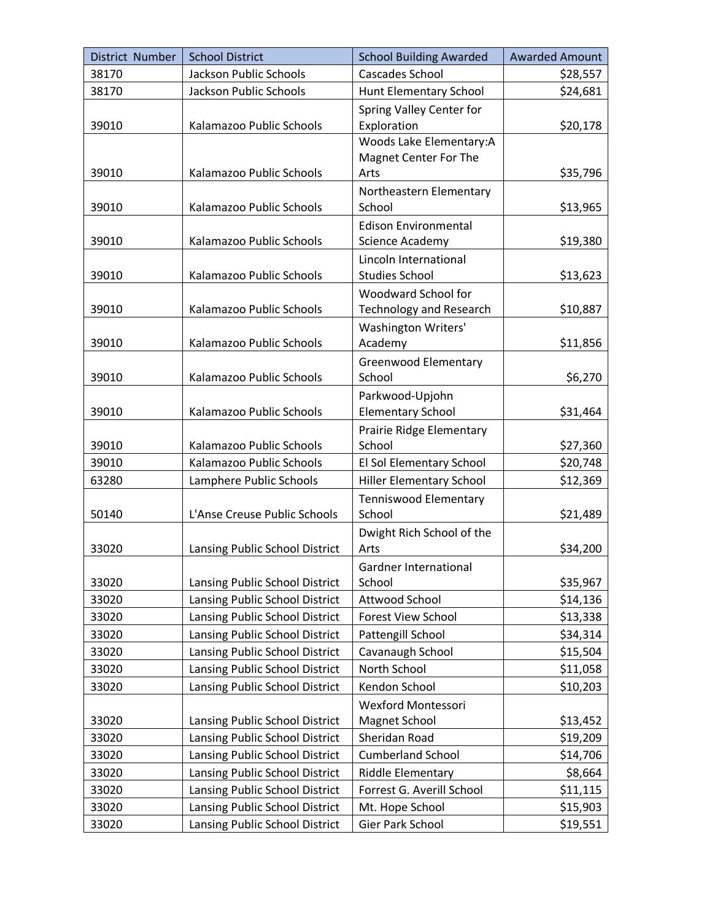| District Number | <b>School District</b>         | <b>School Building Awarded</b>           | <b>Awarded Amount</b> |
|-----------------|--------------------------------|------------------------------------------|-----------------------|
| 38170           | Jackson Public Schools         | <b>Cascades School</b>                   | \$28,557              |
| 38170           | Jackson Public Schools         | <b>Hunt Elementary School</b>            | \$24,681              |
| 39010           | Kalamazoo Public Schools       | Spring Valley Center for<br>Exploration  | \$20,178              |
|                 |                                | Woods Lake Elementary:A                  |                       |
| 39010           | Kalamazoo Public Schools       | Magnet Center For The<br>Arts            | \$35,796              |
|                 |                                | Northeastern Elementary                  |                       |
| 39010           | Kalamazoo Public Schools       | School                                   | \$13,965              |
|                 | Kalamazoo Public Schools       | <b>Edison Environmental</b>              |                       |
| 39010           |                                | Science Academy<br>Lincoln International | \$19,380              |
| 39010           | Kalamazoo Public Schools       | <b>Studies School</b>                    | \$13,623              |
|                 |                                | Woodward School for                      |                       |
| 39010           | Kalamazoo Public Schools       | <b>Technology and Research</b>           | \$10,887              |
|                 |                                | <b>Washington Writers'</b>               |                       |
| 39010           | Kalamazoo Public Schools       | Academy                                  | \$11,856              |
|                 |                                | <b>Greenwood Elementary</b>              |                       |
| 39010           | Kalamazoo Public Schools       | School                                   | \$6,270               |
|                 |                                | Parkwood-Upjohn                          |                       |
| 39010           | Kalamazoo Public Schools       | <b>Elementary School</b>                 | \$31,464              |
|                 | Kalamazoo Public Schools       | Prairie Ridge Elementary<br>School       |                       |
| 39010<br>39010  | Kalamazoo Public Schools       | El Sol Elementary School                 | \$27,360<br>\$20,748  |
| 63280           | Lamphere Public Schools        | <b>Hiller Elementary School</b>          | \$12,369              |
|                 |                                | <b>Tenniswood Elementary</b>             |                       |
| 50140           | L'Anse Creuse Public Schools   | School                                   | \$21,489              |
|                 |                                | Dwight Rich School of the                |                       |
| 33020           | Lansing Public School District | Arts                                     | \$34,200              |
|                 |                                | Gardner International                    |                       |
| 33020           | Lansing Public School District | School                                   | \$35,967              |
| 33020           | Lansing Public School District | Attwood School                           | \$14,136              |
| 33020           | Lansing Public School District | <b>Forest View School</b>                | \$13,338              |
| 33020           | Lansing Public School District | Pattengill School                        | \$34,314              |
| 33020           | Lansing Public School District | Cavanaugh School                         | \$15,504              |
| 33020           | Lansing Public School District | North School                             | \$11,058              |
| 33020           | Lansing Public School District | Kendon School                            | \$10,203              |
|                 |                                | <b>Wexford Montessori</b>                |                       |
| 33020           | Lansing Public School District | Magnet School                            | \$13,452              |
| 33020           | Lansing Public School District | Sheridan Road                            | \$19,209              |
| 33020           | Lansing Public School District | <b>Cumberland School</b>                 | \$14,706              |
| 33020           | Lansing Public School District | Riddle Elementary                        | \$8,664               |
| 33020           | Lansing Public School District | Forrest G. Averill School                | \$11,115              |
| 33020           | Lansing Public School District | Mt. Hope School                          | \$15,903              |
| 33020           | Lansing Public School District | Gier Park School                         | \$19,551              |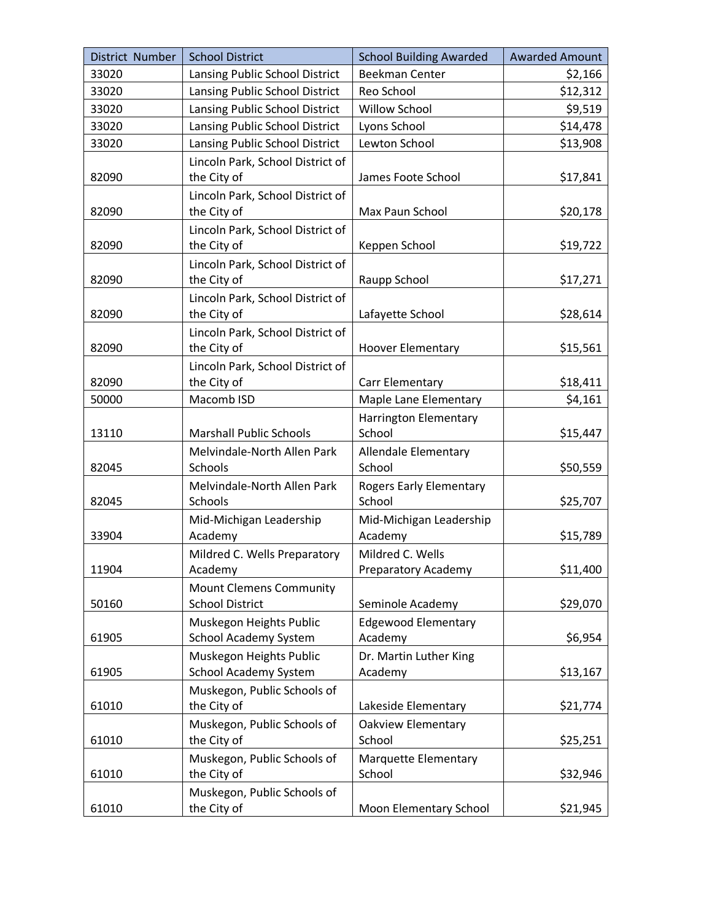| District Number | <b>School District</b>                                   | <b>School Building Awarded</b> | <b>Awarded Amount</b> |
|-----------------|----------------------------------------------------------|--------------------------------|-----------------------|
| 33020           | Lansing Public School District                           | <b>Beekman Center</b>          | \$2,166               |
| 33020           | Lansing Public School District                           | Reo School                     | \$12,312              |
| 33020           | Lansing Public School District                           | Willow School                  | \$9,519               |
| 33020           | Lansing Public School District                           | Lyons School                   | \$14,478              |
| 33020           | Lansing Public School District                           | Lewton School                  | \$13,908              |
|                 | Lincoln Park, School District of                         |                                |                       |
| 82090           | the City of                                              | James Foote School             | \$17,841              |
|                 | Lincoln Park, School District of                         |                                |                       |
| 82090           | the City of                                              | Max Paun School                | \$20,178              |
| 82090           | Lincoln Park, School District of<br>the City of          | Keppen School                  | \$19,722              |
|                 | Lincoln Park, School District of                         |                                |                       |
| 82090           | the City of                                              | Raupp School                   | \$17,271              |
|                 | Lincoln Park, School District of                         |                                |                       |
| 82090           | the City of                                              | Lafayette School               | \$28,614              |
|                 | Lincoln Park, School District of                         |                                |                       |
| 82090           | the City of                                              | <b>Hoover Elementary</b>       | \$15,561              |
|                 | Lincoln Park, School District of                         |                                |                       |
| 82090           | the City of                                              | Carr Elementary                | \$18,411              |
| 50000           | Macomb ISD                                               | Maple Lane Elementary          | \$4,161               |
|                 |                                                          | <b>Harrington Elementary</b>   |                       |
| 13110           | <b>Marshall Public Schools</b>                           | School                         | \$15,447              |
|                 | Melvindale-North Allen Park                              | Allendale Elementary           |                       |
| 82045           | Schools                                                  | School                         | \$50,559              |
|                 | Melvindale-North Allen Park                              | <b>Rogers Early Elementary</b> |                       |
| 82045           | Schools                                                  | School                         | \$25,707              |
|                 | Mid-Michigan Leadership                                  | Mid-Michigan Leadership        |                       |
| 33904           | Academy                                                  | Academy                        | \$15,789              |
|                 | Mildred C. Wells Preparatory                             | Mildred C. Wells               | \$11,400              |
| 11904           | Academy                                                  | Preparatory Academy            |                       |
| 50160           | <b>Mount Clemens Community</b><br><b>School District</b> | Seminole Academy               | \$29,070              |
|                 | Muskegon Heights Public                                  | <b>Edgewood Elementary</b>     |                       |
| 61905           | School Academy System                                    | Academy                        | \$6,954               |
|                 | Muskegon Heights Public                                  | Dr. Martin Luther King         |                       |
| 61905           | School Academy System                                    | Academy                        | \$13,167              |
|                 | Muskegon, Public Schools of                              |                                |                       |
| 61010           | the City of                                              | Lakeside Elementary            | \$21,774              |
|                 | Muskegon, Public Schools of                              | Oakview Elementary             |                       |
| 61010           | the City of                                              | School                         | \$25,251              |
|                 | Muskegon, Public Schools of                              | Marquette Elementary           |                       |
| 61010           | the City of                                              | School                         | \$32,946              |
|                 | Muskegon, Public Schools of                              |                                |                       |
| 61010           | the City of                                              | <b>Moon Elementary School</b>  | \$21,945              |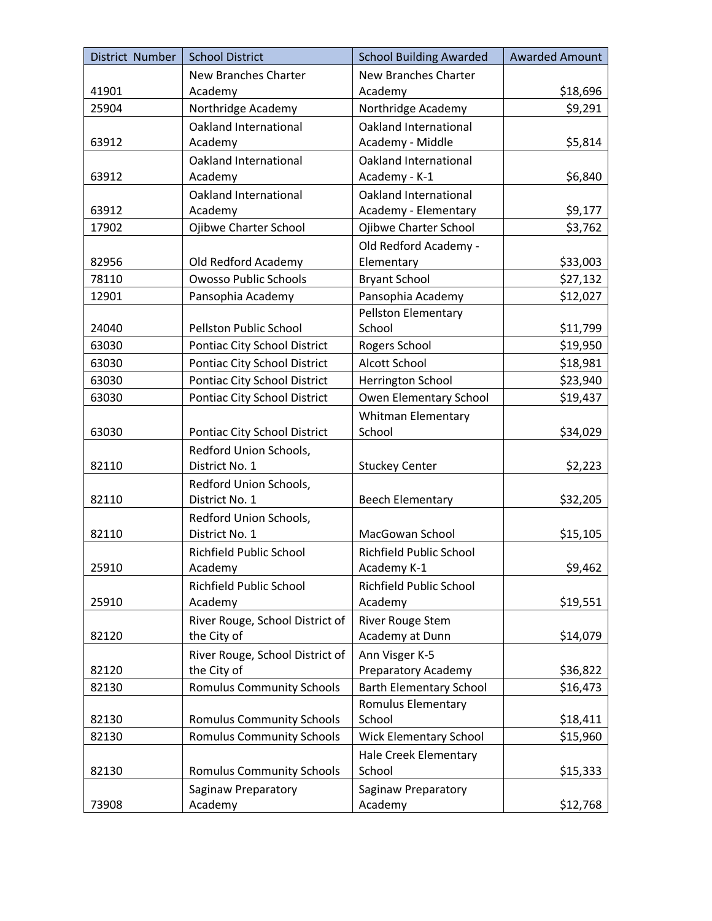| District Number | <b>School District</b>                   | <b>School Building Awarded</b>         | <b>Awarded Amount</b> |
|-----------------|------------------------------------------|----------------------------------------|-----------------------|
|                 | New Branches Charter                     | <b>New Branches Charter</b>            |                       |
| 41901           | Academy                                  | Academy                                | \$18,696              |
| 25904           | Northridge Academy                       | Northridge Academy                     | \$9,291               |
|                 | Oakland International                    | <b>Oakland International</b>           |                       |
| 63912           | Academy                                  | Academy - Middle                       | \$5,814               |
|                 | Oakland International                    | <b>Oakland International</b>           |                       |
| 63912           | Academy                                  | Academy - K-1                          | \$6,840               |
|                 | Oakland International                    | Oakland International                  |                       |
| 63912           | Academy                                  | Academy - Elementary                   | \$9,177               |
| 17902           | Ojibwe Charter School                    | Ojibwe Charter School                  | \$3,762               |
|                 |                                          | Old Redford Academy -                  |                       |
| 82956           | Old Redford Academy                      | Elementary                             | \$33,003              |
| 78110           | <b>Owosso Public Schools</b>             | <b>Bryant School</b>                   | \$27,132              |
| 12901           | Pansophia Academy                        | Pansophia Academy                      | \$12,027              |
|                 |                                          | <b>Pellston Elementary</b>             |                       |
| 24040           | Pellston Public School                   | School                                 | \$11,799              |
| 63030           | <b>Pontiac City School District</b>      | Rogers School                          | \$19,950              |
| 63030           | Pontiac City School District             | Alcott School                          | \$18,981              |
| 63030           | Pontiac City School District             | Herrington School                      | \$23,940              |
| 63030           | Pontiac City School District             | Owen Elementary School                 | \$19,437              |
|                 |                                          | <b>Whitman Elementary</b>              |                       |
| 63030           | Pontiac City School District             | School                                 | \$34,029              |
|                 | Redford Union Schools,                   |                                        |                       |
| 82110           | District No. 1                           | <b>Stuckey Center</b>                  | \$2,223               |
|                 | Redford Union Schools,                   |                                        |                       |
| 82110           | District No. 1                           | <b>Beech Elementary</b>                | \$32,205              |
| 82110           | Redford Union Schools,<br>District No. 1 | MacGowan School                        |                       |
|                 |                                          |                                        | \$15,105              |
| 25910           | Richfield Public School<br>Academy       | Richfield Public School<br>Academy K-1 | \$9,462               |
|                 | <b>Richfield Public School</b>           | <b>Richfield Public School</b>         |                       |
| 25910           | Academy                                  | Academy                                | \$19,551              |
|                 | River Rouge, School District of          | <b>River Rouge Stem</b>                |                       |
| 82120           | the City of                              | Academy at Dunn                        | \$14,079              |
|                 | River Rouge, School District of          | Ann Visger K-5                         |                       |
| 82120           | the City of                              | Preparatory Academy                    | \$36,822              |
| 82130           | <b>Romulus Community Schools</b>         | <b>Barth Elementary School</b>         | \$16,473              |
|                 |                                          | Romulus Elementary                     |                       |
| 82130           | <b>Romulus Community Schools</b>         | School                                 | \$18,411              |
| 82130           | <b>Romulus Community Schools</b>         | <b>Wick Elementary School</b>          | \$15,960              |
|                 |                                          | <b>Hale Creek Elementary</b>           |                       |
| 82130           | <b>Romulus Community Schools</b>         | School                                 | \$15,333              |
|                 | Saginaw Preparatory                      | Saginaw Preparatory                    |                       |
| 73908           | Academy                                  | Academy                                | \$12,768              |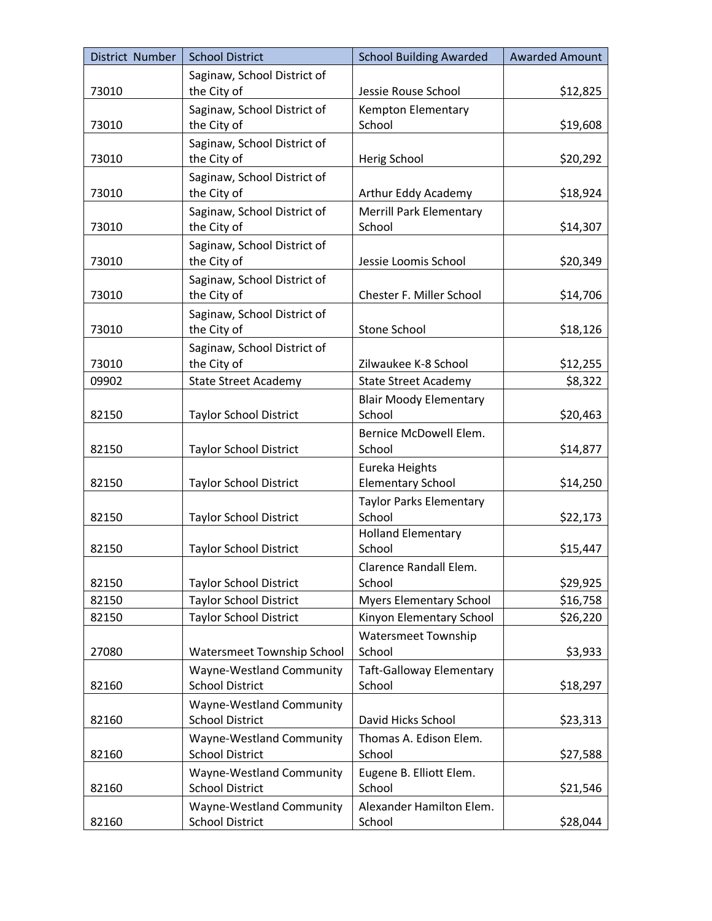| District Number | <b>School District</b>                             | <b>School Building Awarded</b>             | <b>Awarded Amount</b> |
|-----------------|----------------------------------------------------|--------------------------------------------|-----------------------|
|                 | Saginaw, School District of                        |                                            |                       |
| 73010           | the City of                                        | Jessie Rouse School                        | \$12,825              |
|                 | Saginaw, School District of                        | Kempton Elementary                         |                       |
| 73010           | the City of                                        | School                                     | \$19,608              |
| 73010           | Saginaw, School District of<br>the City of         |                                            |                       |
|                 |                                                    | Herig School                               | \$20,292              |
| 73010           | Saginaw, School District of<br>the City of         | Arthur Eddy Academy                        | \$18,924              |
|                 | Saginaw, School District of                        | <b>Merrill Park Elementary</b>             |                       |
| 73010           | the City of                                        | School                                     | \$14,307              |
|                 | Saginaw, School District of                        |                                            |                       |
| 73010           | the City of                                        | Jessie Loomis School                       | \$20,349              |
|                 | Saginaw, School District of                        |                                            |                       |
| 73010           | the City of                                        | Chester F. Miller School                   | \$14,706              |
|                 | Saginaw, School District of                        |                                            |                       |
| 73010           | the City of                                        | <b>Stone School</b>                        | \$18,126              |
|                 | Saginaw, School District of                        |                                            |                       |
| 73010           | the City of                                        | Zilwaukee K-8 School                       | \$12,255              |
| 09902           | <b>State Street Academy</b>                        | <b>State Street Academy</b>                | \$8,322               |
|                 |                                                    | <b>Blair Moody Elementary</b>              |                       |
| 82150           | <b>Taylor School District</b>                      | School                                     | \$20,463              |
|                 |                                                    | Bernice McDowell Elem.                     |                       |
| 82150           | <b>Taylor School District</b>                      | School                                     | \$14,877              |
| 82150           | <b>Taylor School District</b>                      | Eureka Heights<br><b>Elementary School</b> | \$14,250              |
|                 |                                                    | <b>Taylor Parks Elementary</b>             |                       |
| 82150           | <b>Taylor School District</b>                      | School                                     | \$22,173              |
|                 |                                                    | <b>Holland Elementary</b>                  |                       |
| 82150           | <b>Taylor School District</b>                      | School                                     | \$15,447              |
|                 |                                                    | Clarence Randall Elem.                     |                       |
| 82150           | Taylor School District                             | School                                     | \$29,925              |
| 82150           | <b>Taylor School District</b>                      | <b>Myers Elementary School</b>             | \$16,758              |
| 82150           | <b>Taylor School District</b>                      | Kinyon Elementary School                   | \$26,220              |
|                 |                                                    | <b>Watersmeet Township</b>                 |                       |
| 27080           | Watersmeet Township School                         | School                                     | \$3,933               |
|                 | Wayne-Westland Community                           | <b>Taft-Galloway Elementary</b>            |                       |
| 82160           | <b>School District</b>                             | School                                     | \$18,297              |
|                 | Wayne-Westland Community                           |                                            |                       |
| 82160           | <b>School District</b>                             | David Hicks School                         | \$23,313              |
|                 | Wayne-Westland Community                           | Thomas A. Edison Elem.                     |                       |
| 82160           | <b>School District</b>                             | School                                     | \$27,588              |
| 82160           | Wayne-Westland Community<br><b>School District</b> | Eugene B. Elliott Elem.<br>School          | \$21,546              |
|                 | Wayne-Westland Community                           | Alexander Hamilton Elem.                   |                       |
| 82160           | <b>School District</b>                             | School                                     | \$28,044              |